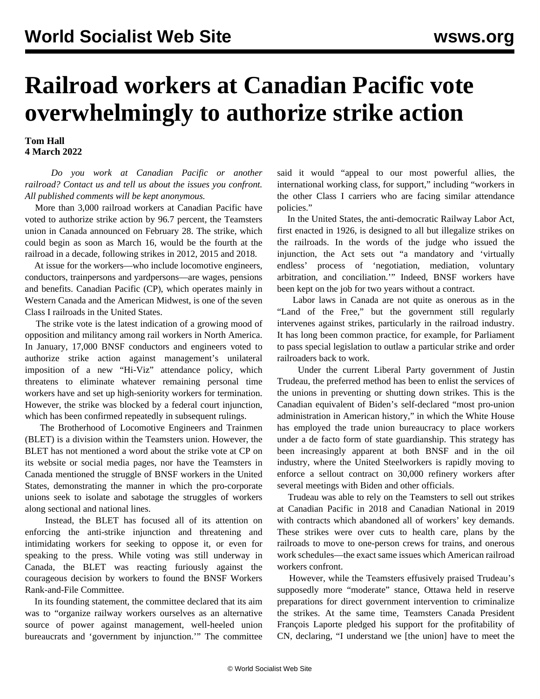## **Railroad workers at Canadian Pacific vote overwhelmingly to authorize strike action**

## **Tom Hall 4 March 2022**

 *Do you work at Canadian Pacific or another railroad? [Contact us](/en/special/pages/contact.html) and tell us about the issues you confront. All published comments will be kept anonymous.*

 More than 3,000 railroad workers at Canadian Pacific have voted to authorize strike action by 96.7 percent, the Teamsters union in Canada announced on February 28. The strike, which could begin as soon as March 16, would be the fourth at the railroad in a decade, following strikes in 2012, 2015 and 2018.

 At issue for the workers—who include locomotive engineers, conductors, trainpersons and yardpersons—are wages, pensions and benefits. Canadian Pacific (CP), which operates mainly in Western Canada and the American Midwest, is one of the seven Class I railroads in the United States.

 The strike vote is the latest indication of a growing mood of opposition and militancy among rail workers in North America. In January, 17,000 BNSF conductors and engineers voted to authorize strike action against management's unilateral imposition of a new "Hi-Viz" attendance policy, which threatens to eliminate whatever remaining personal time workers have and set up high-seniority workers for termination. However, the strike was blocked by a federal court injunction, which has been confirmed repeatedly in subsequent rulings.

 The Brotherhood of Locomotive Engineers and Trainmen (BLET) is a division within the Teamsters union. However, the BLET has not mentioned a word about the strike vote at CP on its website or social media pages, nor have the Teamsters in Canada mentioned the struggle of BNSF workers in the United States, demonstrating the manner in which the pro-corporate unions seek to isolate and sabotage the struggles of workers along sectional and national lines.

 Instead, the BLET has focused all of its attention on enforcing the anti-strike injunction and threatening and intimidating workers for seeking to oppose it, or even for speaking to the press. While voting was still underway in Canada, the BLET was reacting furiously against the courageous decision by workers to found the [BNSF Workers](/en/articles/2022/02/19/bnsf-f19.html) [Rank-and-File Committee](/en/articles/2022/02/19/bnsf-f19.html).

 In its founding statement, the committee declared that its aim was to "organize railway workers ourselves as an alternative source of power against management, well-heeled union bureaucrats and 'government by injunction.'" The committee said it would "appeal to our most powerful allies, the international working class, for support," including "workers in the other Class I carriers who are facing similar attendance policies."

 In the United States, the anti-democratic Railway Labor Act, first enacted in 1926, is designed to all but illegalize strikes on the railroads. In the words of the judge who issued the injunction, the Act sets out "a mandatory and 'virtually endless' process of 'negotiation, mediation, voluntary arbitration, and conciliation.'" Indeed, BNSF workers have been kept on the job for two years without a contract.

 Labor laws in Canada are not quite as onerous as in the "Land of the Free," but the government still regularly intervenes against strikes, particularly in the railroad industry. It has long been common practice, for example, for Parliament to pass special legislation to outlaw a particular strike and order railroaders back to work.

 Under the current Liberal Party government of Justin Trudeau, the preferred method has been to enlist the services of the unions in preventing or shutting down strikes. This is the Canadian equivalent of Biden's self-declared "most pro-union administration in American history," in which the White House has employed the trade union bureaucracy to place workers under a de facto form of state guardianship. This strategy has been increasingly apparent at both BNSF and in the oil industry, where the United Steelworkers is rapidly [moving to](/en/articles/2022/03/02/oils-m02.html) [enforce](/en/articles/2022/03/02/oils-m02.html) a sellout contract on 30,000 refinery workers after several meetings with Biden and other officials.

 Trudeau was able to rely on the Teamsters to sell out strikes at [Canadian Pacific in 2018](/en/articles/2018/05/31/canp-05-31-m31.html) and [Canadian National in 2019](/en/articles/2019/11/27/cnra-n27-n27.html) with contracts which abandoned all of workers' key demands. These strikes were over cuts to health care, plans by the railroads to move to one-person crews for trains, and onerous work schedules—the exact same issues which American railroad workers confront.

 However, while the Teamsters effusively praised Trudeau's supposedly more "moderate" stance, Ottawa held in reserve preparations for direct government intervention to criminalize the strikes. At the same time, Teamsters Canada President François Laporte pledged his support for the profitability of CN, declaring, "I understand we [the union] have to meet the